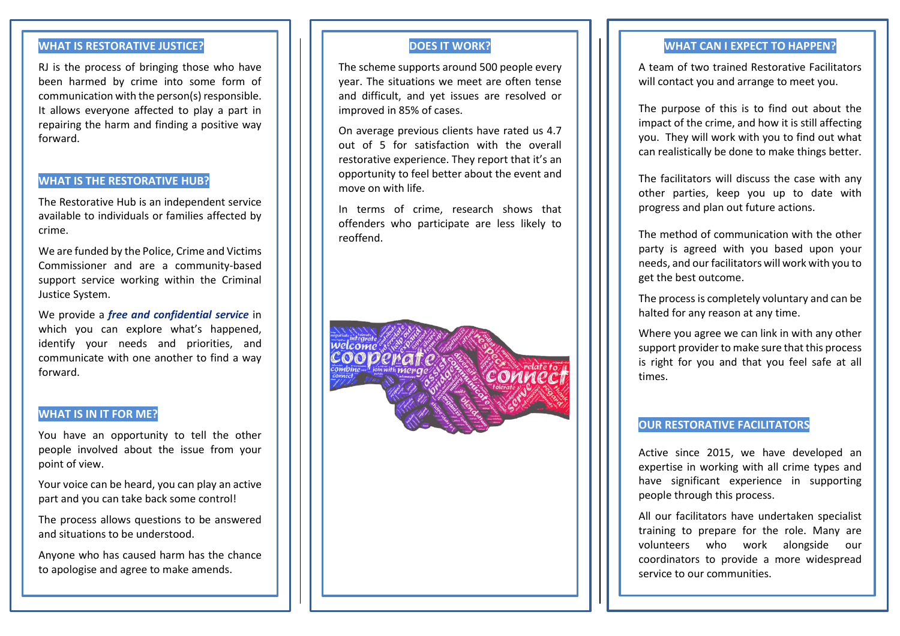### **WHAT IS RESTORATIVE JUSTICE?**

RJ is the process of bringing those who have been harmed by crime into some form of communication with the person(s) responsible. It allows everyone affected to play a part in repairing the harm and finding a positive way forward.

### **WHAT IS THE RESTORATIVE HUB?**

The Restorative Hub is an independent service available to individuals or families affected by crime.

We are funded by the Police, Crime and Victims Commissioner and are a community-based support service working within the Criminal Justice System.

We provide a *free and confidential service* in which you can explore what's happened, identify your needs and priorities, and communicate with one another to find a way forward.

#### **WHAT IS IN IT FOR ME?**

You have an opportunity to tell the other people involved about the issue from your point of view.

Your voice can be heard, you can play an active part and you can take back some control!

The process allows questions to be answered and situations to be understood.

Anyone who has caused harm has the chance to apologise and agree to make amends.

### **DOES IT WORK?**

The scheme supports around 500 people every year. The situations we meet are often tense and difficult, and yet issues are resolved or improved in 85% of cases.

On average previous clients have rated us 4.7 out of 5 for satisfaction with the overall restorative experience. They report that it's an opportunity to feel better about the event and move on with life.

In terms of crime, research shows that offenders who participate are less likely to reoffend.

**COMMECT** 

operat

**WHAT CAN I EXPECT TO HAPPEN?**

A team of two trained Restorative Facilitators will contact you and arrange to meet you.

The purpose of this is to find out about the impact of the crime, and how it is still affecting you. They will work with you to find out what can realistically be done to make things better.

The facilitators will discuss the case with any other parties, keep you up to date with progress and plan out future actions.

The method of communication with the other party is agreed with you based upon your needs, and our facilitators will work with you to get the best outcome.

The process is completely voluntary and can be halted for any reason at any time.

Where you agree we can link in with any other support provider to make sure that this process is right for you and that you feel safe at all times.

#### **OUR RESTORATIVE FACILITATORS**

Active since 2015, we have developed an expertise in working with all crime types and have significant experience in supporting people through this process.

All our facilitators have undertaken specialist training to prepare for the role. Many are volunteers who work alongside our coordinators to provide a more widespread service to our communities.